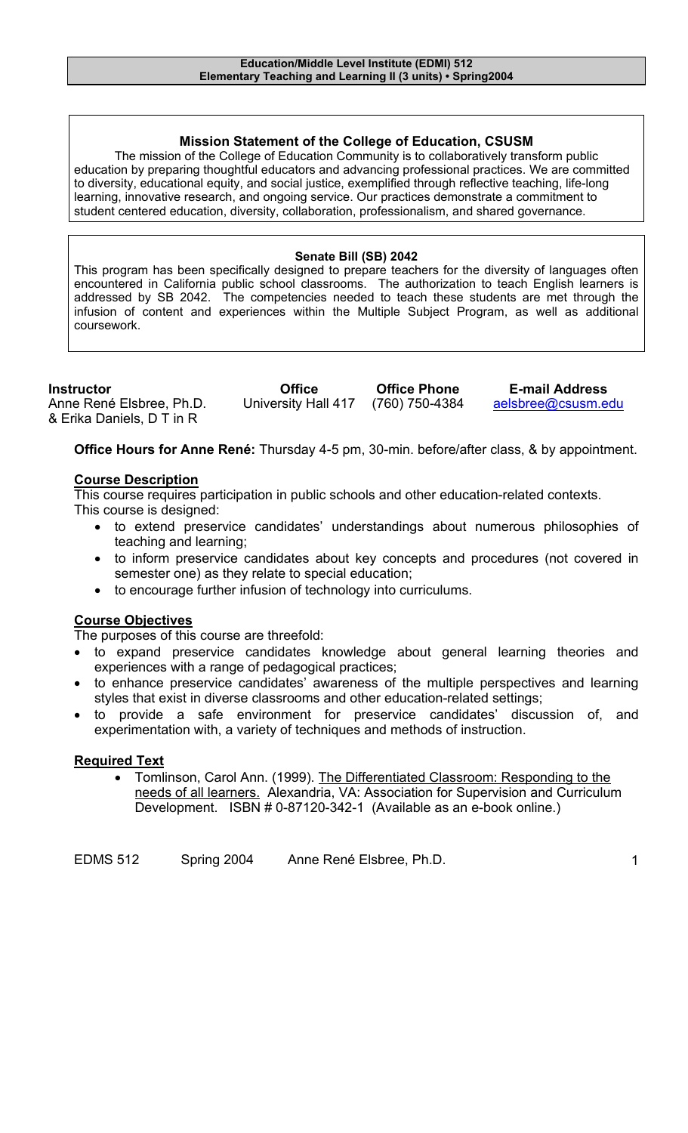## **Mission Statement of the College of Education, CSUSM**

The mission of the College of Education Community is to collaboratively transform public education by preparing thoughtful educators and advancing professional practices. We are committed to diversity, educational equity, and social justice, exemplified through reflective teaching, life-long learning, innovative research, and ongoing service. Our practices demonstrate a commitment to student centered education, diversity, collaboration, professionalism, and shared governance.

#### **Senate Bill (SB) 2042**

This program has been specifically designed to prepare teachers for the diversity of languages often encountered in California public school classrooms. The authorization to teach English learners is addressed by SB 2042. The competencies needed to teach these students are met through the infusion of content and experiences within the Multiple Subject Program, as well as additional coursework.

| <b>Instructor</b>         | <b>Office</b>       | <b>Office Phone</b> | <b>E-mail Address</b> |
|---------------------------|---------------------|---------------------|-----------------------|
| Anne René Elsbree, Ph.D.  | University Hall 417 | (760) 750-4384      | aelsbree@csusm.edu    |
| & Erika Daniels, D T in R |                     |                     |                       |

**Office Hours for Anne René:** Thursday 4-5 pm, 30-min. before/after class, & by appointment.

## **Course Description**

This course requires participation in public schools and other education-related contexts. This course is designed:

- to extend preservice candidates' understandings about numerous philosophies of teaching and learning;
- to inform preservice candidates about key concepts and procedures (not covered in semester one) as they relate to special education;
- to encourage further infusion of technology into curriculums.

## **Course Objectives**

The purposes of this course are threefold:

- to expand preservice candidates knowledge about general learning theories and experiences with a range of pedagogical practices;
- to enhance preservice candidates' awareness of the multiple perspectives and learning styles that exist in diverse classrooms and other education-related settings;
- to provide a safe environment for preservice candidates' discussion of, and experimentation with, a variety of techniques and methods of instruction.

## **Required Text**

• Tomlinson, Carol Ann. (1999). The Differentiated Classroom: Responding to the needs of all learners. Alexandria, VA: Association for Supervision and Curriculum Development. ISBN # 0-87120-342-1 (Available as an e-book online.)

| <b>EDMS 512</b> | Spring 2004 | Anne René Elsbree, Ph.D. |  |
|-----------------|-------------|--------------------------|--|
|-----------------|-------------|--------------------------|--|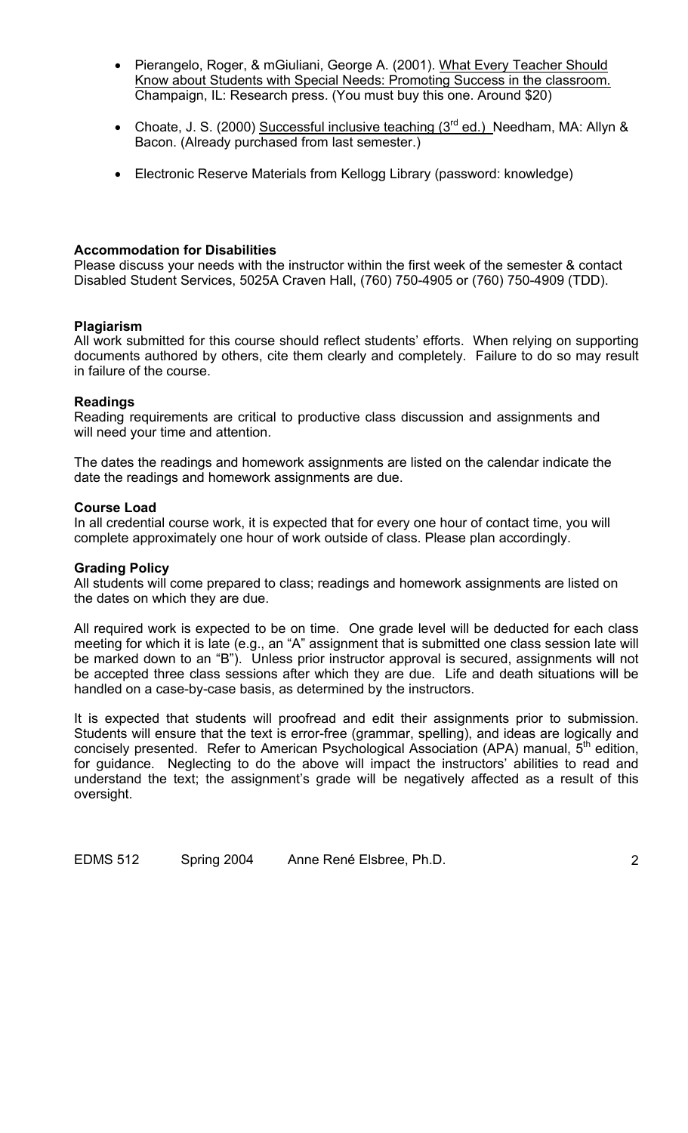- Pierangelo, Roger, & mGiuliani, George A. (2001). What Every Teacher Should Know about Students with Special Needs: Promoting Success in the classroom. Champaign, IL: Research press. (You must buy this one. Around \$20)
- Choate, J. S. (2000) Successful inclusive teaching  $(3<sup>rd</sup>$  ed.) Needham, MA: Allyn & Bacon. (Already purchased from last semester.)
- Electronic Reserve Materials from Kellogg Library (password: knowledge)

## **Accommodation for Disabilities**

Please discuss your needs with the instructor within the first week of the semester & contact Disabled Student Services, 5025A Craven Hall, (760) 750-4905 or (760) 750-4909 (TDD).

## **Plagiarism**

All work submitted for this course should reflect students' efforts. When relying on supporting documents authored by others, cite them clearly and completely. Failure to do so may result in failure of the course.

## **Readings**

Reading requirements are critical to productive class discussion and assignments and will need your time and attention.

The dates the readings and homework assignments are listed on the calendar indicate the date the readings and homework assignments are due.

#### **Course Load**

In all credential course work, it is expected that for every one hour of contact time, you will complete approximately one hour of work outside of class. Please plan accordingly.

#### **Grading Policy**

All students will come prepared to class; readings and homework assignments are listed on the dates on which they are due.

All required work is expected to be on time. One grade level will be deducted for each class meeting for which it is late (e.g., an "A" assignment that is submitted one class session late will be marked down to an "B"). Unless prior instructor approval is secured, assignments will not be accepted three class sessions after which they are due. Life and death situations will be handled on a case-by-case basis, as determined by the instructors.

It is expected that students will proofread and edit their assignments prior to submission. Students will ensure that the text is error-free (grammar, spelling), and ideas are logically and concisely presented. Refer to American Psychological Association (APA) manual, 5<sup>th</sup> edition, for guidance. Neglecting to do the above will impact the instructors' abilities to read and understand the text; the assignment's grade will be negatively affected as a result of this oversight.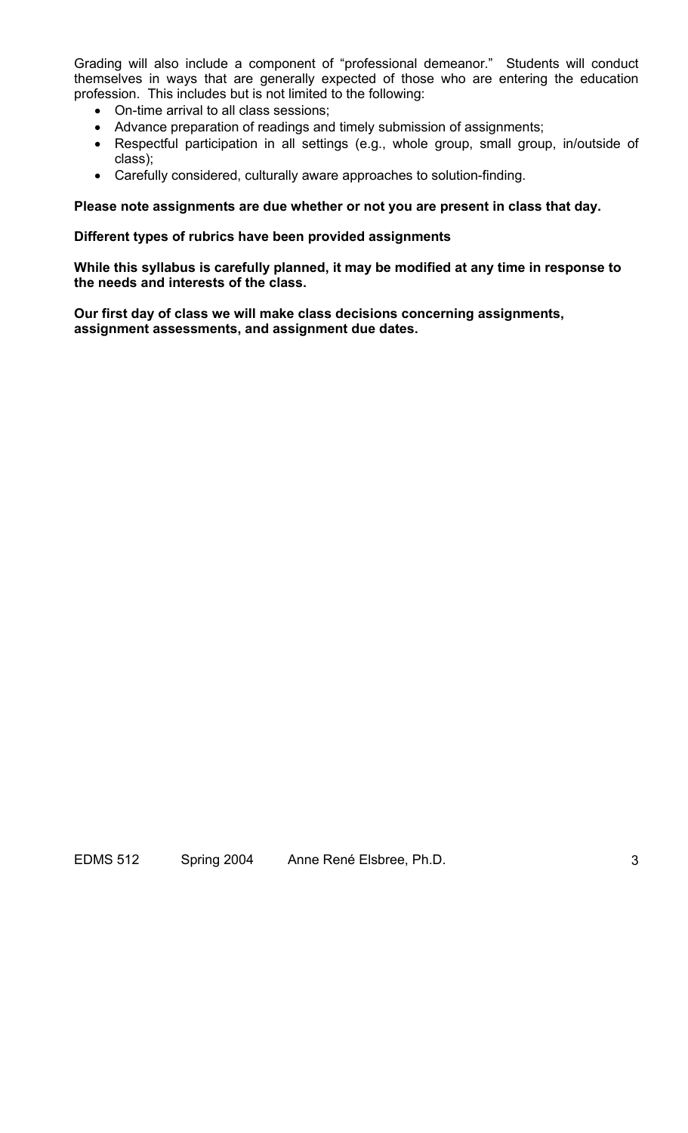Grading will also include a component of "professional demeanor." Students will conduct themselves in ways that are generally expected of those who are entering the education profession. This includes but is not limited to the following:

- On-time arrival to all class sessions;
- Advance preparation of readings and timely submission of assignments;
- Respectful participation in all settings (e.g., whole group, small group, in/outside of class);
- Carefully considered, culturally aware approaches to solution-finding.

## **Please note assignments are due whether or not you are present in class that day.**

#### **Different types of rubrics have been provided assignments**

**While this syllabus is carefully planned, it may be modified at any time in response to the needs and interests of the class.** 

**Our first day of class we will make class decisions concerning assignments, assignment assessments, and assignment due dates.**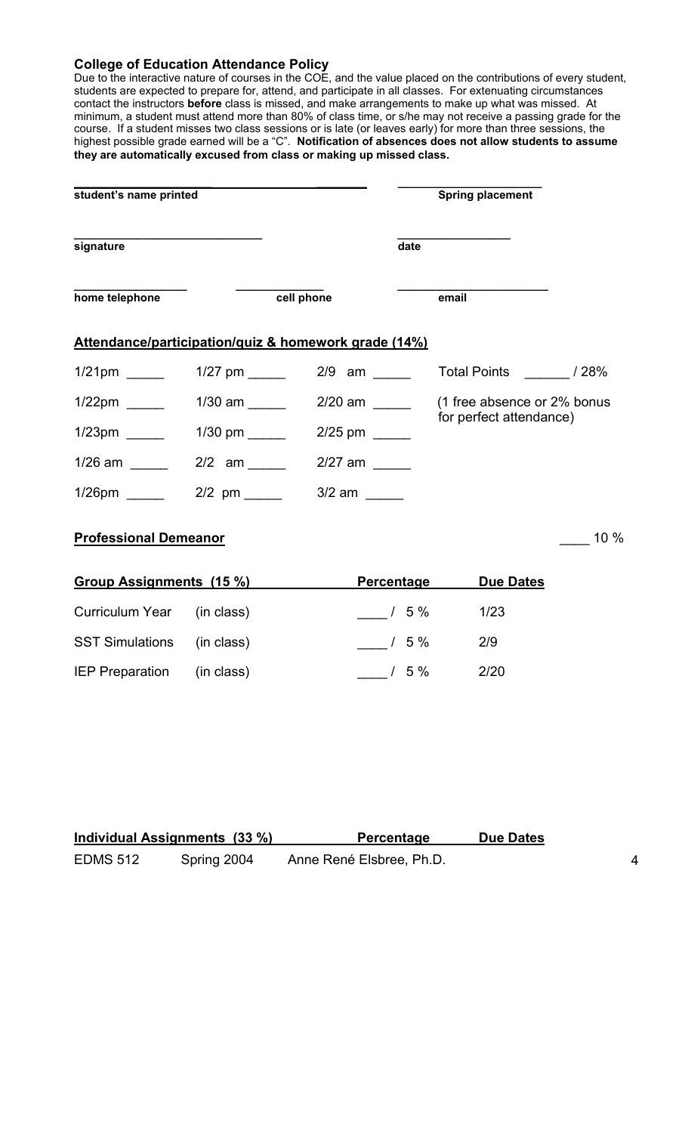#### **College of Education Attendance Policy**

Due to the interactive nature of courses in the COE, and the value placed on the contributions of every student, students are expected to prepare for, attend, and participate in all classes. For extenuating circumstances contact the instructors **before** class is missed, and make arrangements to make up what was missed. At minimum, a student must attend more than 80% of class time, or s/he may not receive a passing grade for the course. If a student misses two class sessions or is late (or leaves early) for more than three sessions, the highest possible grade earned will be a "C". **Notification of absences does not allow students to assume they are automatically excused from class or making up missed class.** 

| student's name printed                                       |                              |                                                      | <b>Spring placement</b>      |      |
|--------------------------------------------------------------|------------------------------|------------------------------------------------------|------------------------------|------|
| signature                                                    |                              | date                                                 |                              |      |
| home telephone                                               |                              | cell phone                                           | email                        |      |
|                                                              |                              | Attendance/participation/quiz & homework grade (14%) |                              |      |
| $1/21$ pm                                                    |                              |                                                      | Total Points _________ / 28% |      |
|                                                              | $1/30$ am _______            | $2/20$ am ________                                   | (1 free absence or 2% bonus  |      |
|                                                              | $1/30$ pm ________           | $2/25$ pm ______                                     | for perfect attendance)      |      |
| 1/26 am ______                                               | $2/2$ am _______             | $2/27$ am                                            |                              |      |
| $1/26$ pm $\_\_\_\_\_\_\_\_\_\_\_\_\_\_\_\_\_\_\_\_\_\_\_\_$ | $2/2$ pm ______ 3/2 am _____ |                                                      |                              |      |
| <b>Professional Demeanor</b>                                 |                              |                                                      |                              | 10 % |
| <b>Group Assignments (15 %)</b>                              |                              | <b>Percentage</b>                                    | <b>Due Dates</b>             |      |
| <b>Curriculum Year</b>                                       | (in class)                   | $/5\%$                                               | 1/23                         |      |
| <b>SST Simulations</b>                                       | (in class)                   | $\frac{1}{5\%}$                                      | 2/9                          |      |
| IEP Preparation (in class)                                   |                              | $/5\%$                                               | 2/20                         |      |

| Individual Assignments (33 %) |             | <b>Percentage</b>        | <b>Due Dates</b> |  |
|-------------------------------|-------------|--------------------------|------------------|--|
| <b>EDMS 512</b>               | Spring 2004 | Anne René Elsbree, Ph.D. |                  |  |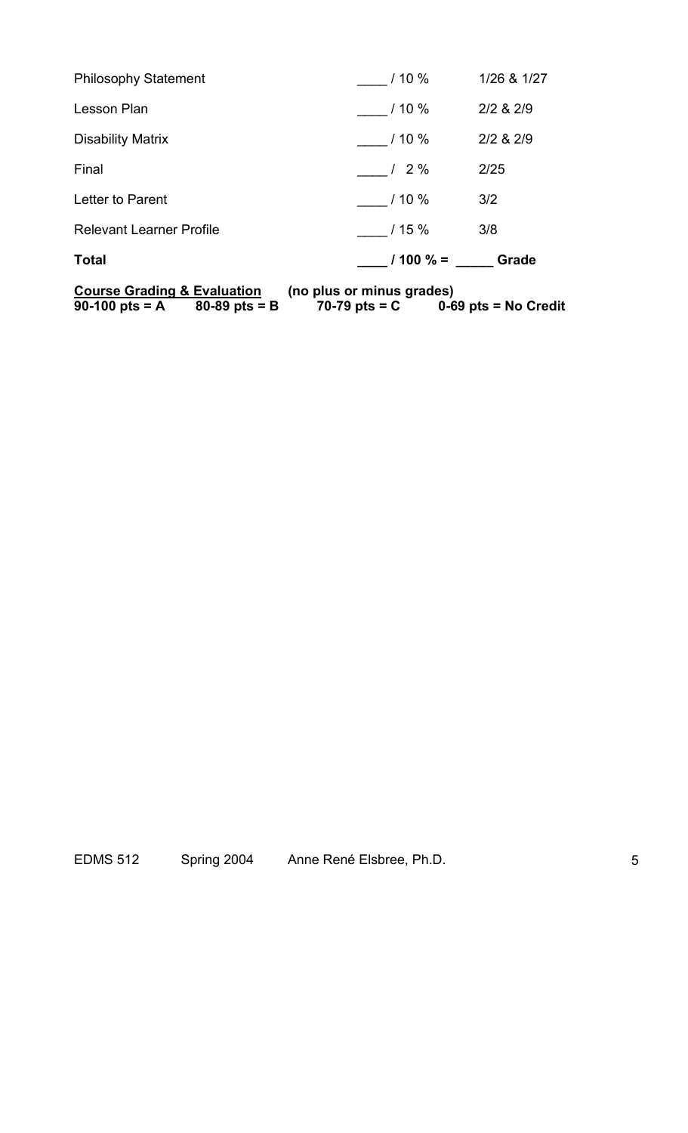| Course Grading & Evaluation (no plus or minus grades)<br>90-100 pts = A $80-89$ pts = B $70-79$ pts = C $0-69$ pts = No Credit |                                             |             |
|--------------------------------------------------------------------------------------------------------------------------------|---------------------------------------------|-------------|
| <b>Total</b>                                                                                                                   | $\frac{1}{2}$ / 100 % = $\frac{1}{2}$ Grade |             |
| <b>Relevant Learner Profile</b>                                                                                                | 15%                                         | 3/8         |
| Letter to Parent                                                                                                               | $10\%$                                      | 3/2         |
| Final                                                                                                                          | 12%                                         | 2/25        |
| Disability Matrix                                                                                                              | 110%                                        | 2/2 & 2/9   |
| Lesson Plan                                                                                                                    | 110%                                        | 2/2 & 2/9   |
| <b>Philosophy Statement</b>                                                                                                    | $110\%$                                     | 1/26 & 1/27 |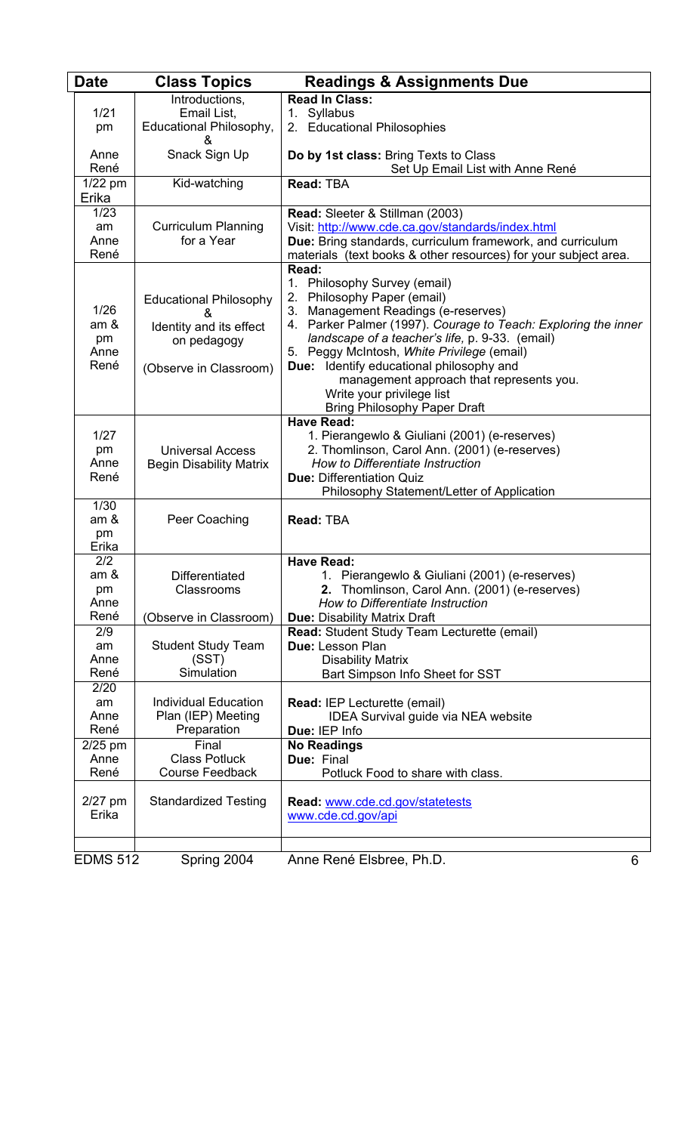| <b>Date</b>        | <b>Class Topics</b>            | <b>Readings &amp; Assignments Due</b>                                                |
|--------------------|--------------------------------|--------------------------------------------------------------------------------------|
|                    | Introductions,                 | <b>Read In Class:</b>                                                                |
| 1/21               | Email List,                    | 1. Syllabus                                                                          |
| pm                 | Educational Philosophy,        | 2. Educational Philosophies                                                          |
|                    | &                              |                                                                                      |
| Anne               | Snack Sign Up                  | Do by 1st class: Bring Texts to Class                                                |
| René               |                                | Set Up Email List with Anne René                                                     |
| $1/22$ pm<br>Erika | Kid-watching                   | <b>Read: TBA</b>                                                                     |
| 1/23               |                                |                                                                                      |
| am                 | <b>Curriculum Planning</b>     | Read: Sleeter & Stillman (2003)<br>Visit: http://www.cde.ca.gov/standards/index.html |
| Anne               | for a Year                     | Due: Bring standards, curriculum framework, and curriculum                           |
| René               |                                | materials (text books & other resources) for your subject area.                      |
|                    |                                | Read:                                                                                |
|                    |                                | Philosophy Survey (email)<br>1.                                                      |
|                    | <b>Educational Philosophy</b>  | Philosophy Paper (email)<br>2.                                                       |
| 1/26               | &                              | 3. Management Readings (e-reserves)                                                  |
| am &               | Identity and its effect        | 4. Parker Palmer (1997). Courage to Teach: Exploring the inner                       |
| pm                 | on pedagogy                    | landscape of a teacher's life, p. 9-33. (email)                                      |
| Anne               |                                | 5. Peggy McIntosh, White Privilege (email)                                           |
| René               | (Observe in Classroom)         | Due: Identify educational philosophy and                                             |
|                    |                                | management approach that represents you.                                             |
|                    |                                | Write your privilege list                                                            |
|                    |                                | <b>Bring Philosophy Paper Draft</b><br><b>Have Read:</b>                             |
| 1/27               |                                | 1. Pierangewlo & Giuliani (2001) (e-reserves)                                        |
| pm                 | <b>Universal Access</b>        | 2. Thomlinson, Carol Ann. (2001) (e-reserves)                                        |
| Anne               | <b>Begin Disability Matrix</b> | How to Differentiate Instruction                                                     |
| René               |                                | <b>Due: Differentiation Quiz</b>                                                     |
|                    |                                | Philosophy Statement/Letter of Application                                           |
| 1/30               |                                |                                                                                      |
| am &               | Peer Coaching                  | Read: TBA                                                                            |
| pm                 |                                |                                                                                      |
| Erika              |                                |                                                                                      |
| 2/2<br>am &        |                                | <b>Have Read:</b><br>1. Pierangewlo & Giuliani (2001) (e-reserves)                   |
| pm                 | Differentiated<br>Classrooms   | 2. Thomlinson, Carol Ann. (2001) (e-reserves)                                        |
| Anne               |                                | How to Differentiate Instruction                                                     |
| René               | (Observe in Classroom)         | <b>Due: Disability Matrix Draft</b>                                                  |
| 2/9                |                                | Read: Student Study Team Lecturette (email)                                          |
| am                 | <b>Student Study Team</b>      | Due: Lesson Plan                                                                     |
| Anne               | (SST)                          | <b>Disability Matrix</b>                                                             |
| René               | Simulation                     | Bart Simpson Info Sheet for SST                                                      |
| 2/20               |                                |                                                                                      |
| am                 | Individual Education           | <b>Read: IEP Lecturette (email)</b>                                                  |
| Anne               | Plan (IEP) Meeting             | <b>IDEA Survival guide via NEA website</b>                                           |
| René               | Preparation                    | Due: IEP Info                                                                        |
| $2/25$ pm          | Final                          | <b>No Readings</b>                                                                   |
| Anne               | <b>Class Potluck</b>           | Due: Final                                                                           |
| René               | <b>Course Feedback</b>         | Potluck Food to share with class.                                                    |
| $2/27$ pm          | <b>Standardized Testing</b>    | Read: www.cde.cd.gov/statetests                                                      |
| Erika              |                                | www.cde.cd.gov/api                                                                   |
|                    |                                |                                                                                      |
|                    |                                |                                                                                      |
| <b>EDMS 512</b>    | Spring 2004                    | Anne René Elsbree, Ph.D.<br>6                                                        |
|                    |                                |                                                                                      |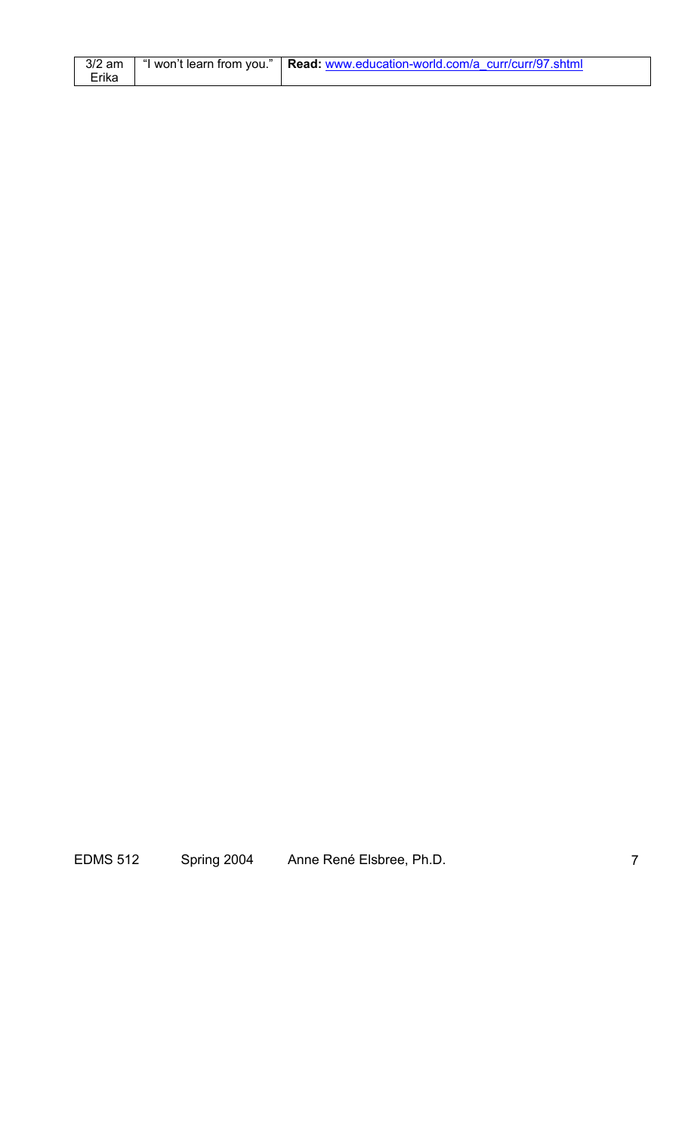|       | 3/2 am   "I won't learn from you."   Read: www.education-world.com/a curr/curr/97.shtml |
|-------|-----------------------------------------------------------------------------------------|
| Erika |                                                                                         |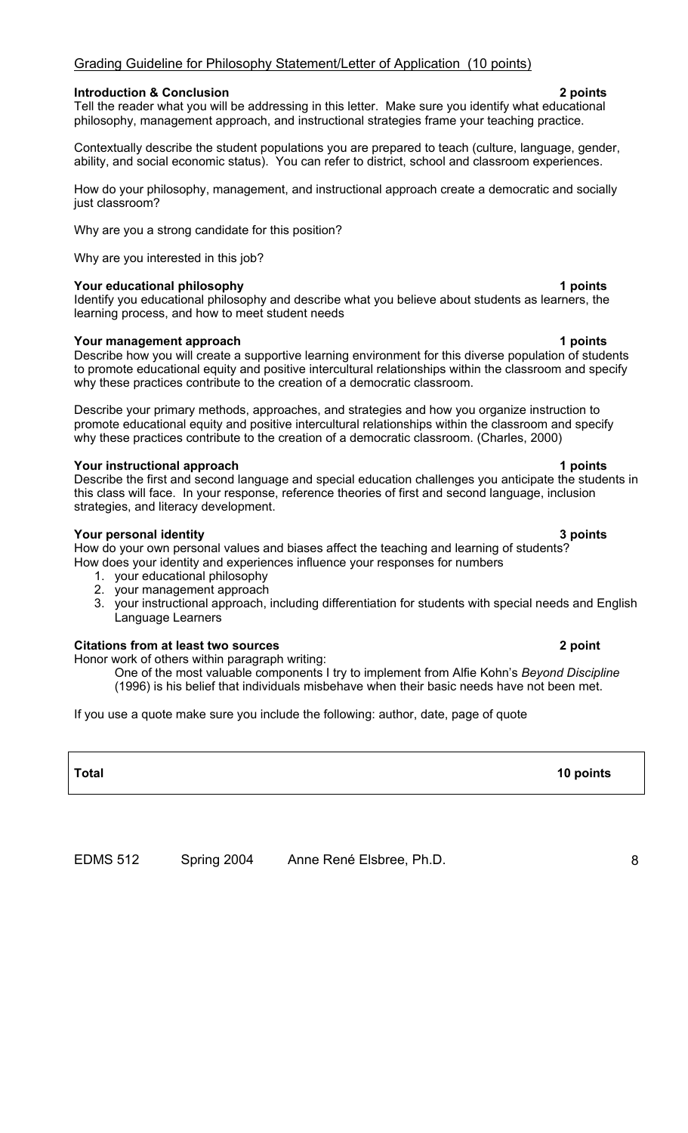#### Grading Guideline for Philosophy Statement/Letter of Application (10 points)

#### **Introduction & Conclusion 2 points**

Tell the reader what you will be addressing in this letter. Make sure you identify what educational philosophy, management approach, and instructional strategies frame your teaching practice.

Contextually describe the student populations you are prepared to teach (culture, language, gender, ability, and social economic status). You can refer to district, school and classroom experiences.

How do your philosophy, management, and instructional approach create a democratic and socially just classroom?

Why are you a strong candidate for this position?

Why are you interested in this job?

#### **Your educational philosophy 1 points**

Identify you educational philosophy and describe what you believe about students as learners, the learning process, and how to meet student needs

#### **Your management approach 1 and 1 points 1 and 1 points 1 and 1 points 1 and 1 points 1 and 1 points 1 and 1 points 1 and 1 points 1 and 1 and 1 and 1 and 1 and 1 and 1 and 1 and 1 and 1 and 1 and 1 and 1 and 1 and 1 and 1**

Describe how you will create a supportive learning environment for this diverse population of students to promote educational equity and positive intercultural relationships within the classroom and specify why these practices contribute to the creation of a democratic classroom.

Describe your primary methods, approaches, and strategies and how you organize instruction to promote educational equity and positive intercultural relationships within the classroom and specify why these practices contribute to the creation of a democratic classroom. (Charles, 2000)

#### **Your instructional approach 1 and 2 points 1 points 1 points**

Describe the first and second language and special education challenges you anticipate the students in this class will face. In your response, reference theories of first and second language, inclusion strategies, and literacy development.

#### **Your personal identity 3 points 3 points**

How do your own personal values and biases affect the teaching and learning of students? How does your identity and experiences influence your responses for numbers

- 1. your educational philosophy
- 2. your management approach
- 3. your instructional approach, including differentiation for students with special needs and English Language Learners

#### **Citations from at least two sources 2 point**

Honor work of others within paragraph writing:

One of the most valuable components I try to implement from Alfie Kohn's *Beyond Discipline*  (1996) is his belief that individuals misbehave when their basic needs have not been met.

If you use a quote make sure you include the following: author, date, page of quote

EDMS 512 Spring 2004 Anne René Elsbree, Ph.D. 8

## **Total 10 points**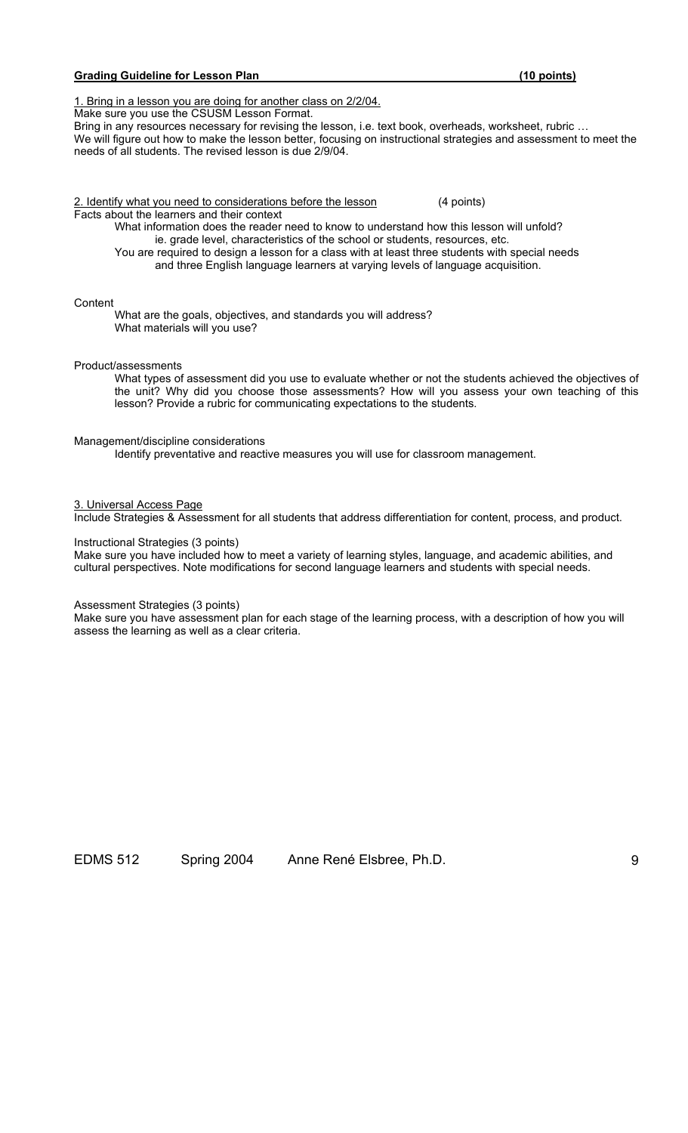#### Grading Guideline for Lesson Plan (10 points)

1. Bring in a lesson you are doing for another class on 2/2/04.

Make sure you use the CSUSM Lesson Format. Bring in any resources necessary for revising the lesson, i.e. text book, overheads, worksheet, rubric ... We will figure out how to make the lesson better, focusing on instructional strategies and assessment to meet the needs of all students. The revised lesson is due 2/9/04.

2. Identify what you need to considerations before the lesson (4 points) Facts about the learners and their context What information does the reader need to know to understand how this lesson will unfold?

ie. grade level, characteristics of the school or students, resources, etc. You are required to design a lesson for a class with at least three students with special needs and three English language learners at varying levels of language acquisition.

#### **Content**

 What are the goals, objectives, and standards you will address? What materials will you use?

#### Product/assessments

What types of assessment did you use to evaluate whether or not the students achieved the objectives of the unit? Why did you choose those assessments? How will you assess your own teaching of this lesson? Provide a rubric for communicating expectations to the students.

#### Management/discipline considerations

Identify preventative and reactive measures you will use for classroom management.

#### 3. Universal Access Page

Include Strategies & Assessment for all students that address differentiation for content, process, and product.

Instructional Strategies (3 points)

Make sure you have included how to meet a variety of learning styles, language, and academic abilities, and cultural perspectives. Note modifications for second language learners and students with special needs.

Assessment Strategies (3 points)

Make sure you have assessment plan for each stage of the learning process, with a description of how you will assess the learning as well as a clear criteria.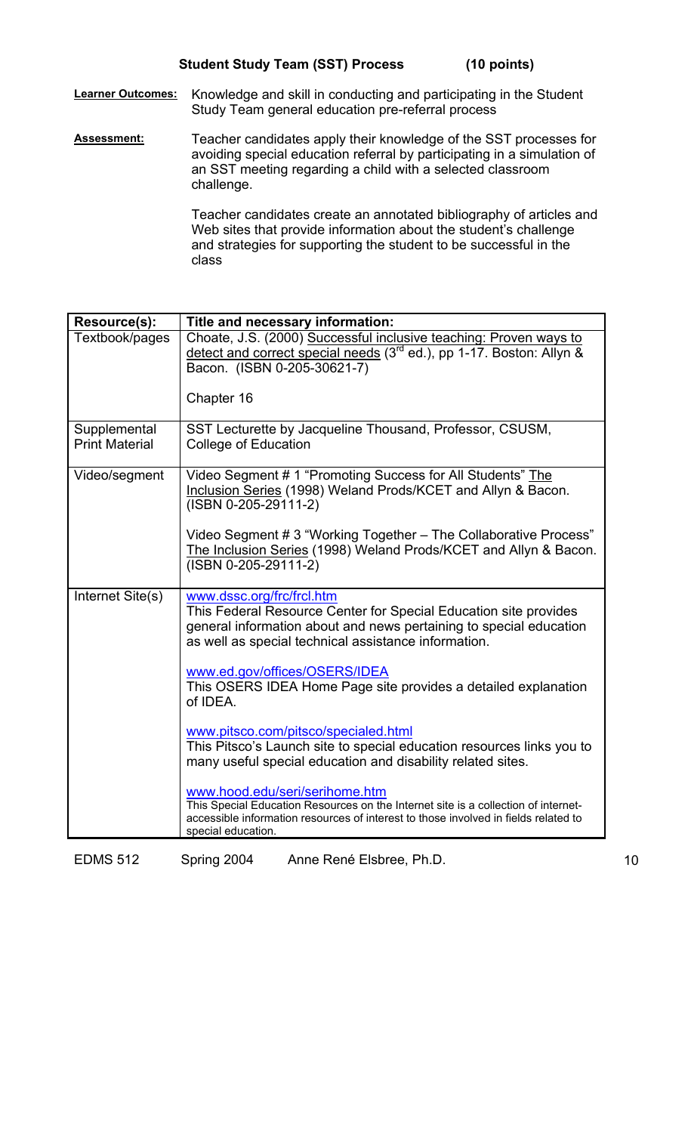**Learner Outcomes:** Knowledge and skill in conducting and participating in the Student Study Team general education pre-referral process

**Assessment:** Teacher candidates apply their knowledge of the SST processes for avoiding special education referral by participating in a simulation of an SST meeting regarding a child with a selected classroom challenge.

> Teacher candidates create an annotated bibliography of articles and Web sites that provide information about the student's challenge and strategies for supporting the student to be successful in the class

| Resource(s):                          | Title and necessary information:                                                                                                                                                                                                  |
|---------------------------------------|-----------------------------------------------------------------------------------------------------------------------------------------------------------------------------------------------------------------------------------|
| Textbook/pages                        | Choate, J.S. (2000) Successful inclusive teaching: Proven ways to<br>detect and correct special needs (3 <sup>rd</sup> ed.), pp 1-17. Boston: Allyn &<br>Bacon. (ISBN 0-205-30621-7)                                              |
|                                       | Chapter 16                                                                                                                                                                                                                        |
| Supplemental<br><b>Print Material</b> | SST Lecturette by Jacqueline Thousand, Professor, CSUSM.<br><b>College of Education</b>                                                                                                                                           |
| Video/segment                         | Video Segment # 1 "Promoting Success for All Students" The<br>Inclusion Series (1998) Weland Prods/KCET and Allyn & Bacon.<br>(ISBN 0-205-29111-2)                                                                                |
|                                       | Video Segment # 3 "Working Together - The Collaborative Process"<br>The Inclusion Series (1998) Weland Prods/KCET and Allyn & Bacon.<br>(ISBN 0-205-29111-2)                                                                      |
| Internet Site(s)                      | www.dssc.org/frc/frcl.htm<br>This Federal Resource Center for Special Education site provides<br>general information about and news pertaining to special education<br>as well as special technical assistance information.       |
|                                       | www.ed.gov/offices/OSERS/IDEA<br>This OSERS IDEA Home Page site provides a detailed explanation<br>of IDEA.                                                                                                                       |
|                                       | www.pitsco.com/pitsco/specialed.html<br>This Pitsco's Launch site to special education resources links you to<br>many useful special education and disability related sites.                                                      |
|                                       | www.hood.edu/seri/serihome.htm<br>This Special Education Resources on the Internet site is a collection of internet-<br>accessible information resources of interest to those involved in fields related to<br>special education. |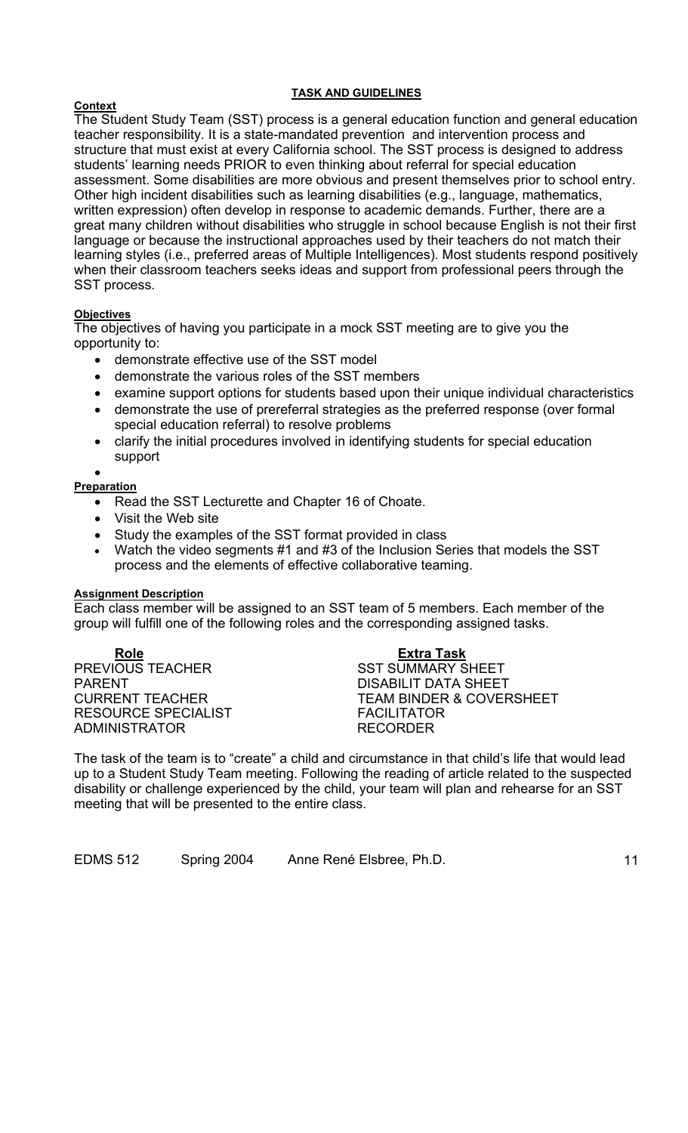#### **TASK AND GUIDELINES**

#### **Context**

The Student Study Team (SST) process is a general education function and general education teacher responsibility. It is a state-mandated prevention and intervention process and structure that must exist at every California school. The SST process is designed to address students' learning needs PRIOR to even thinking about referral for special education assessment. Some disabilities are more obvious and present themselves prior to school entry. Other high incident disabilities such as learning disabilities (e.g., language, mathematics, written expression) often develop in response to academic demands. Further, there are a great many children without disabilities who struggle in school because English is not their first language or because the instructional approaches used by their teachers do not match their learning styles (i.e., preferred areas of Multiple Intelligences). Most students respond positively when their classroom teachers seeks ideas and support from professional peers through the SST process.

## **Objectives**

The objectives of having you participate in a mock SST meeting are to give you the opportunity to:

- demonstrate effective use of the SST model
- demonstrate the various roles of the SST members
- examine support options for students based upon their unique individual characteristics
- demonstrate the use of prereferral strategies as the preferred response (over formal special education referral) to resolve problems
- clarify the initial procedures involved in identifying students for special education support

#### • **Preparation**

- Read the SST Lecturette and Chapter 16 of Choate.
- Visit the Web site
- Study the examples of the SST format provided in class
- Watch the video segments #1 and #3 of the Inclusion Series that models the SST process and the elements of effective collaborative teaming.

#### **Assignment Description**

Each class member will be assigned to an SST team of 5 members. Each member of the group will fulfill one of the following roles and the corresponding assigned tasks.

**Role Extra Task** PREVIOUS TEACHER SST SUMMARY SHEET PARENT THE RESERVE OF STREET BARRIER OF STREET AND THE PARENT DATA SHEET RESOURCE SPECIALIST FACILITATOR ADMINISTRATOR RECORDER

CURRENT TEACHER TEAM BINDER & COVERSHEET

The task of the team is to "create" a child and circumstance in that child's life that would lead up to a Student Study Team meeting. Following the reading of article related to the suspected disability or challenge experienced by the child, your team will plan and rehearse for an SST meeting that will be presented to the entire class.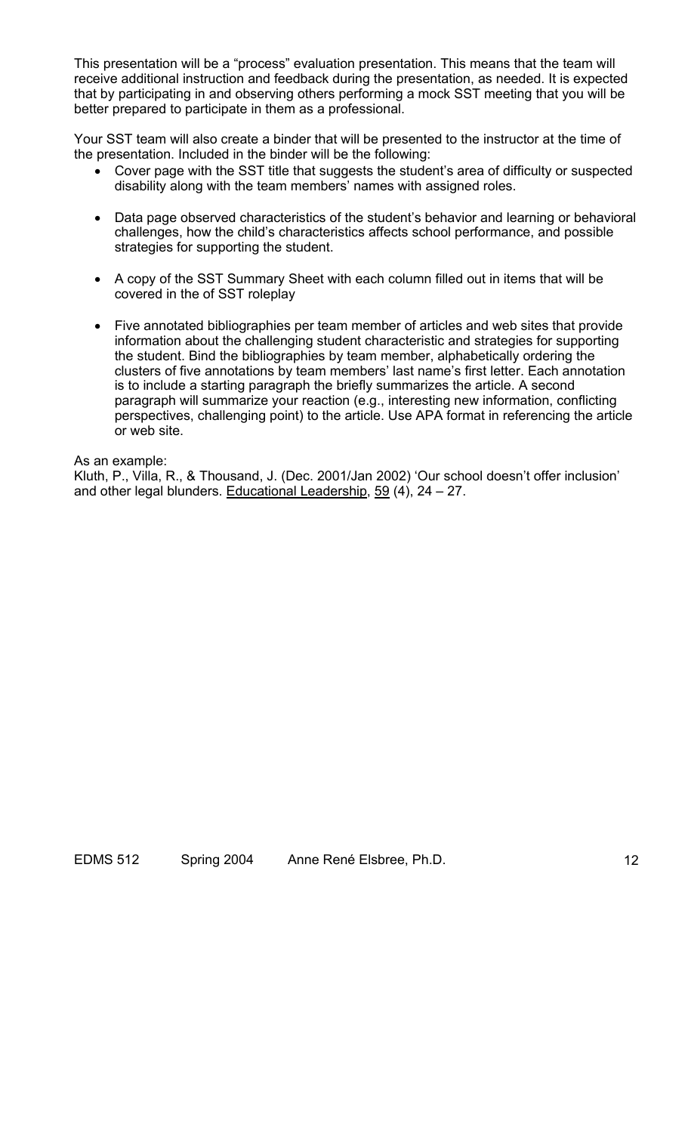This presentation will be a "process" evaluation presentation. This means that the team will receive additional instruction and feedback during the presentation, as needed. It is expected that by participating in and observing others performing a mock SST meeting that you will be better prepared to participate in them as a professional.

Your SST team will also create a binder that will be presented to the instructor at the time of the presentation. Included in the binder will be the following:

- Cover page with the SST title that suggests the student's area of difficulty or suspected disability along with the team members' names with assigned roles.
- Data page observed characteristics of the student's behavior and learning or behavioral challenges, how the child's characteristics affects school performance, and possible strategies for supporting the student.
- A copy of the SST Summary Sheet with each column filled out in items that will be covered in the of SST roleplay
- Five annotated bibliographies per team member of articles and web sites that provide information about the challenging student characteristic and strategies for supporting the student. Bind the bibliographies by team member, alphabetically ordering the clusters of five annotations by team members' last name's first letter. Each annotation is to include a starting paragraph the briefly summarizes the article. A second paragraph will summarize your reaction (e.g., interesting new information, conflicting perspectives, challenging point) to the article. Use APA format in referencing the article or web site.

As an example:

Kluth, P., Villa, R., & Thousand, J. (Dec. 2001/Jan 2002) 'Our school doesn't offer inclusion' and other legal blunders. Educational Leadership, 59 (4), 24 – 27.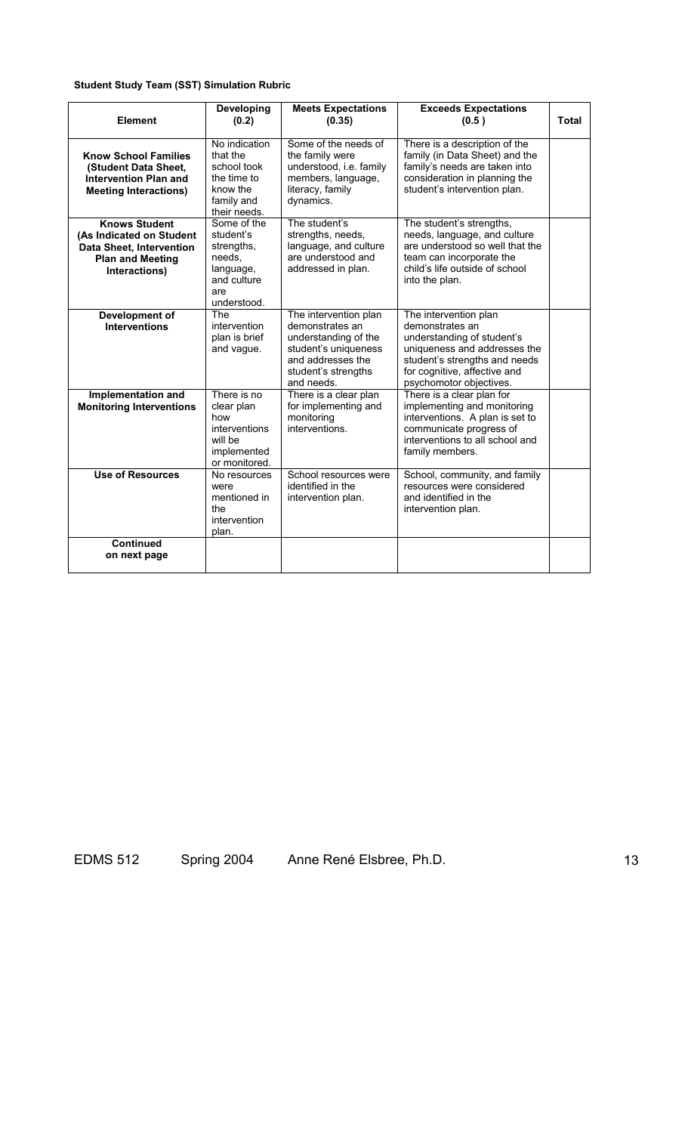## **Student Study Team (SST) Simulation Rubric**

| Element                                                                                                                         | <b>Developing</b><br>(0.2)                                                                         | <b>Meets Expectations</b><br>(0.35)                                                                                                                | <b>Exceeds Expectations</b><br>(0.5)                                                                                                                                                               | <b>Total</b> |
|---------------------------------------------------------------------------------------------------------------------------------|----------------------------------------------------------------------------------------------------|----------------------------------------------------------------------------------------------------------------------------------------------------|----------------------------------------------------------------------------------------------------------------------------------------------------------------------------------------------------|--------------|
| <b>Know School Families</b><br>(Student Data Sheet,<br><b>Intervention Plan and</b><br><b>Meeting Interactions)</b>             | No indication<br>that the<br>school took<br>the time to<br>know the<br>family and<br>their needs.  | Some of the needs of<br>the family were<br>understood, i.e. family<br>members, language,<br>literacy, family<br>dynamics.                          | There is a description of the<br>family (in Data Sheet) and the<br>family's needs are taken into<br>consideration in planning the<br>student's intervention plan.                                  |              |
| <b>Knows Student</b><br>(As Indicated on Student<br><b>Data Sheet, Intervention</b><br><b>Plan and Meeting</b><br>Interactions) | Some of the<br>student's<br>strengths.<br>needs,<br>language,<br>and culture<br>are<br>understood. | The student's<br>strengths, needs,<br>language, and culture<br>are understood and<br>addressed in plan.                                            | The student's strengths,<br>needs, language, and culture<br>are understood so well that the<br>team can incorporate the<br>child's life outside of school<br>into the plan.                        |              |
| Development of<br><b>Interventions</b>                                                                                          | The<br>intervention<br>plan is brief<br>and vague.                                                 | The intervention plan<br>demonstrates an<br>understanding of the<br>student's uniqueness<br>and addresses the<br>student's strengths<br>and needs. | The intervention plan<br>demonstrates an<br>understanding of student's<br>uniqueness and addresses the<br>student's strengths and needs<br>for cognitive, affective and<br>psychomotor objectives. |              |
| Implementation and<br><b>Monitoring Interventions</b>                                                                           | There is no<br>clear plan<br>how<br>interventions<br>will be<br>implemented<br>or monitored.       | There is a clear plan<br>for implementing and<br>monitoring<br>interventions.                                                                      | There is a clear plan for<br>implementing and monitoring<br>interventions. A plan is set to<br>communicate progress of<br>interventions to all school and<br>family members.                       |              |
| <b>Use of Resources</b>                                                                                                         | No resources<br>were<br>mentioned in<br>the<br>intervention<br>plan.                               | School resources were<br>identified in the<br>intervention plan.                                                                                   | School, community, and family<br>resources were considered<br>and identified in the<br>intervention plan.                                                                                          |              |
| <b>Continued</b><br>on next page                                                                                                |                                                                                                    |                                                                                                                                                    |                                                                                                                                                                                                    |              |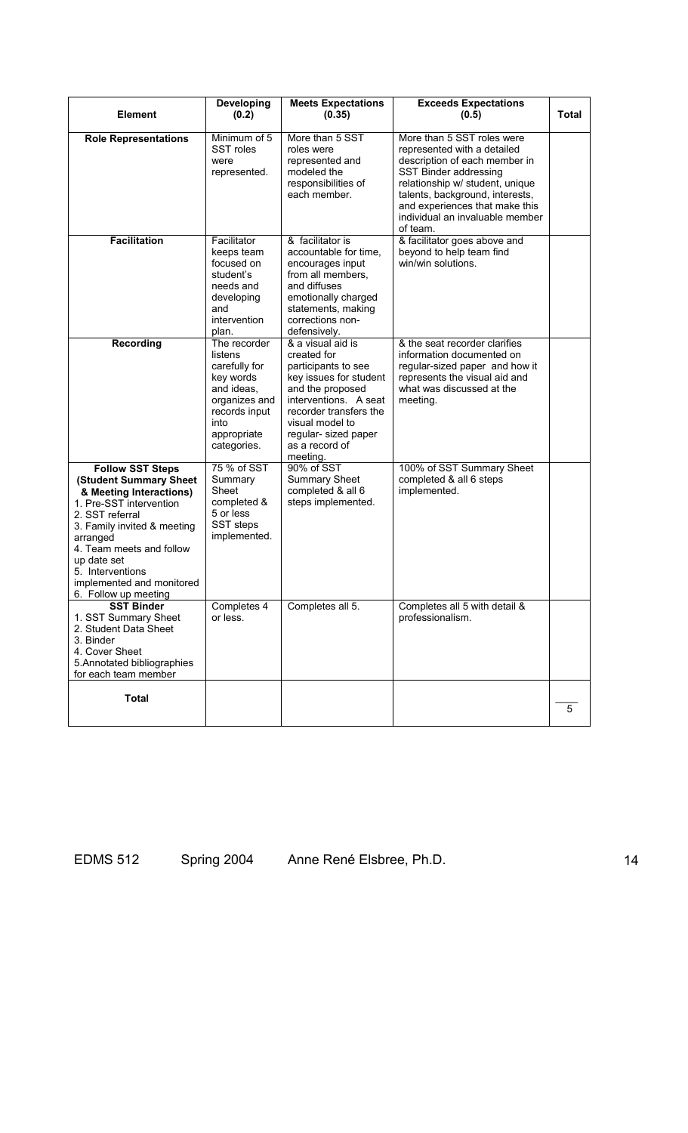|                                                                                                                                                                                                                                                                                           | Developing                                                                                                                                  | <b>Meets Expectations</b>                                                                                                                                                                                                         | <b>Exceeds Expectations</b>                                                                                                                                                                                                                                                |              |
|-------------------------------------------------------------------------------------------------------------------------------------------------------------------------------------------------------------------------------------------------------------------------------------------|---------------------------------------------------------------------------------------------------------------------------------------------|-----------------------------------------------------------------------------------------------------------------------------------------------------------------------------------------------------------------------------------|----------------------------------------------------------------------------------------------------------------------------------------------------------------------------------------------------------------------------------------------------------------------------|--------------|
| <b>Element</b>                                                                                                                                                                                                                                                                            | (0.2)                                                                                                                                       | (0.35)                                                                                                                                                                                                                            | (0.5)                                                                                                                                                                                                                                                                      | <b>Total</b> |
| <b>Role Representations</b>                                                                                                                                                                                                                                                               | Minimum of 5<br>SST roles<br>were<br>represented.                                                                                           | More than 5 SST<br>roles were<br>represented and<br>modeled the<br>responsibilities of<br>each member.                                                                                                                            | More than 5 SST roles were<br>represented with a detailed<br>description of each member in<br>SST Binder addressing<br>relationship w/ student, unique<br>talents, background, interests,<br>and experiences that make this<br>individual an invaluable member<br>of team. |              |
| <b>Facilitation</b>                                                                                                                                                                                                                                                                       | Facilitator<br>keeps team<br>focused on<br>student's<br>needs and<br>developing<br>and<br>intervention<br>plan.                             | & facilitator is<br>accountable for time,<br>encourages input<br>from all members,<br>and diffuses<br>emotionally charged<br>statements, making<br>corrections non-<br>defensively.                                               | & facilitator goes above and<br>beyond to help team find<br>win/win solutions.                                                                                                                                                                                             |              |
| <b>Recording</b>                                                                                                                                                                                                                                                                          | The recorder<br>listens<br>carefully for<br>key words<br>and ideas,<br>organizes and<br>records input<br>into<br>appropriate<br>categories. | & a visual aid is<br>created for<br>participants to see<br>key issues for student<br>and the proposed<br>interventions. A seat<br>recorder transfers the<br>visual model to<br>regular- sized paper<br>as a record of<br>meeting. | & the seat recorder clarifies<br>information documented on<br>regular-sized paper and how it<br>represents the visual aid and<br>what was discussed at the<br>meeting.                                                                                                     |              |
| <b>Follow SST Steps</b><br>(Student Summary Sheet<br>& Meeting Interactions)<br>1. Pre-SST intervention<br>2. SST referral<br>3. Family invited & meeting<br>arranged<br>4. Team meets and follow<br>up date set<br>5. Interventions<br>implemented and monitored<br>6. Follow up meeting | 75 % of SST<br>Summary<br>Sheet<br>completed &<br>5 or less<br>SST steps<br>implemented.                                                    | 90% of SST<br><b>Summary Sheet</b><br>completed & all 6<br>steps implemented.                                                                                                                                                     | 100% of SST Summary Sheet<br>completed & all 6 steps<br>implemented.                                                                                                                                                                                                       |              |
| <b>SST Binder</b><br>1. SST Summary Sheet<br>2. Student Data Sheet<br>3. Binder<br>4. Cover Sheet<br>5. Annotated bibliographies<br>for each team member                                                                                                                                  | Completes 4<br>or less.                                                                                                                     | Completes all 5.                                                                                                                                                                                                                  | Completes all 5 with detail &<br>professionalism.                                                                                                                                                                                                                          |              |
| <b>Total</b>                                                                                                                                                                                                                                                                              |                                                                                                                                             |                                                                                                                                                                                                                                   |                                                                                                                                                                                                                                                                            | 5            |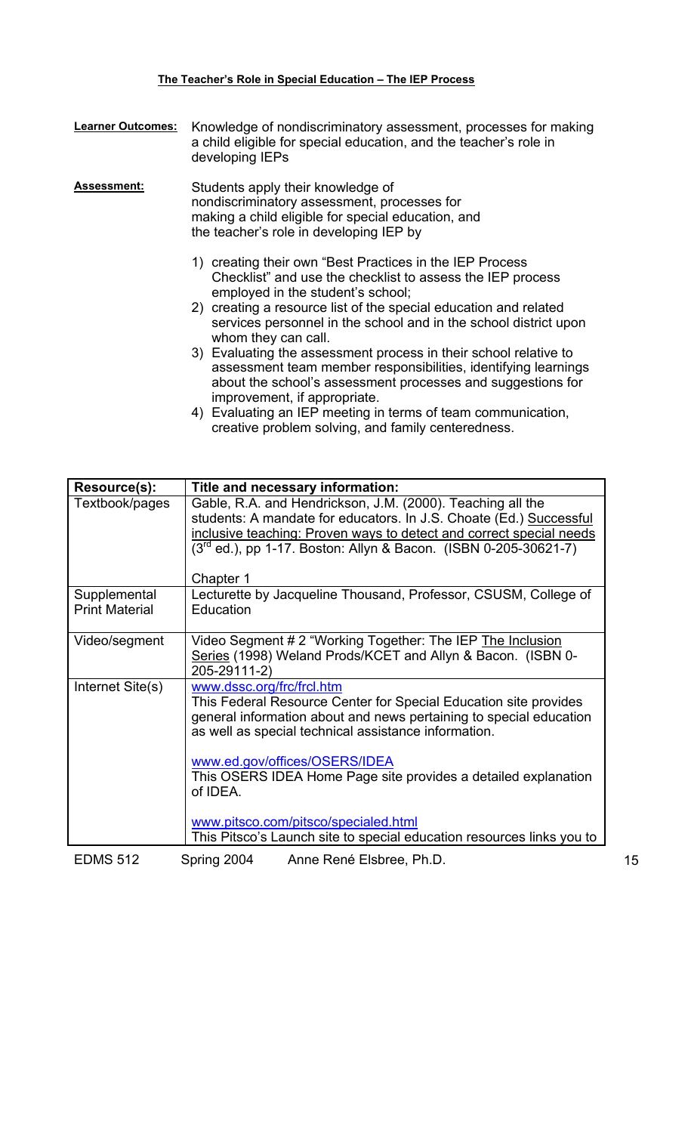## **The Teacher's Role in Special Education – The IEP Process**

| <b>Learner Outcomes:</b> | Knowledge of nondiscriminatory assessment, processes for making<br>a child eligible for special education, and the teacher's role in<br>developing IEPs                                                                                                                                                                    |
|--------------------------|----------------------------------------------------------------------------------------------------------------------------------------------------------------------------------------------------------------------------------------------------------------------------------------------------------------------------|
| <b>Assessment:</b>       | Students apply their knowledge of<br>nondiscriminatory assessment, processes for<br>making a child eligible for special education, and<br>the teacher's role in developing IEP by                                                                                                                                          |
|                          | 1) creating their own "Best Practices in the IEP Process<br>Checklist" and use the checklist to assess the IEP process<br>employed in the student's school;<br>2) creating a resource list of the special education and related<br>services personnel in the school and in the school district upon<br>whom they can call. |
|                          | 3) Evaluating the assessment process in their school relative to<br>assessment team member responsibilities, identifying learnings<br>about the school's assessment processes and suggestions for<br>improvement, if appropriate.                                                                                          |
|                          | 4) Evaluating an IEP meeting in terms of team communication,<br>creative problem solving, and family centeredness.                                                                                                                                                                                                         |

| Resource(s):                          | Title and necessary information:                                                                                                                                                                                            |    |
|---------------------------------------|-----------------------------------------------------------------------------------------------------------------------------------------------------------------------------------------------------------------------------|----|
| Textbook/pages                        | Gable, R.A. and Hendrickson, J.M. (2000). Teaching all the<br>students: A mandate for educators. In J.S. Choate (Ed.) Successful                                                                                            |    |
|                                       | inclusive teaching: Proven ways to detect and correct special needs                                                                                                                                                         |    |
|                                       | $(3rd$ ed.), pp 1-17. Boston: Allyn & Bacon. (ISBN 0-205-30621-7)                                                                                                                                                           |    |
|                                       | Chapter 1                                                                                                                                                                                                                   |    |
| Supplemental<br><b>Print Material</b> | Lecturette by Jacqueline Thousand, Professor, CSUSM, College of<br>Education                                                                                                                                                |    |
| Video/segment                         | Video Segment # 2 "Working Together: The IEP The Inclusion<br>Series (1998) Weland Prods/KCET and Allyn & Bacon. (ISBN 0-<br>205-29111-2)                                                                                   |    |
| Internet Site(s)                      | www.dssc.org/frc/frcl.htm<br>This Federal Resource Center for Special Education site provides<br>general information about and news pertaining to special education<br>as well as special technical assistance information. |    |
|                                       | www.ed.gov/offices/OSERS/IDEA<br>This OSERS IDEA Home Page site provides a detailed explanation<br>of IDEA.                                                                                                                 |    |
|                                       | www.pitsco.com/pitsco/specialed.html<br>This Pitsco's Launch site to special education resources links you to                                                                                                               |    |
| <b>EDMS 512</b>                       | Spring 2004<br>Anne René Elsbree, Ph.D.                                                                                                                                                                                     | 15 |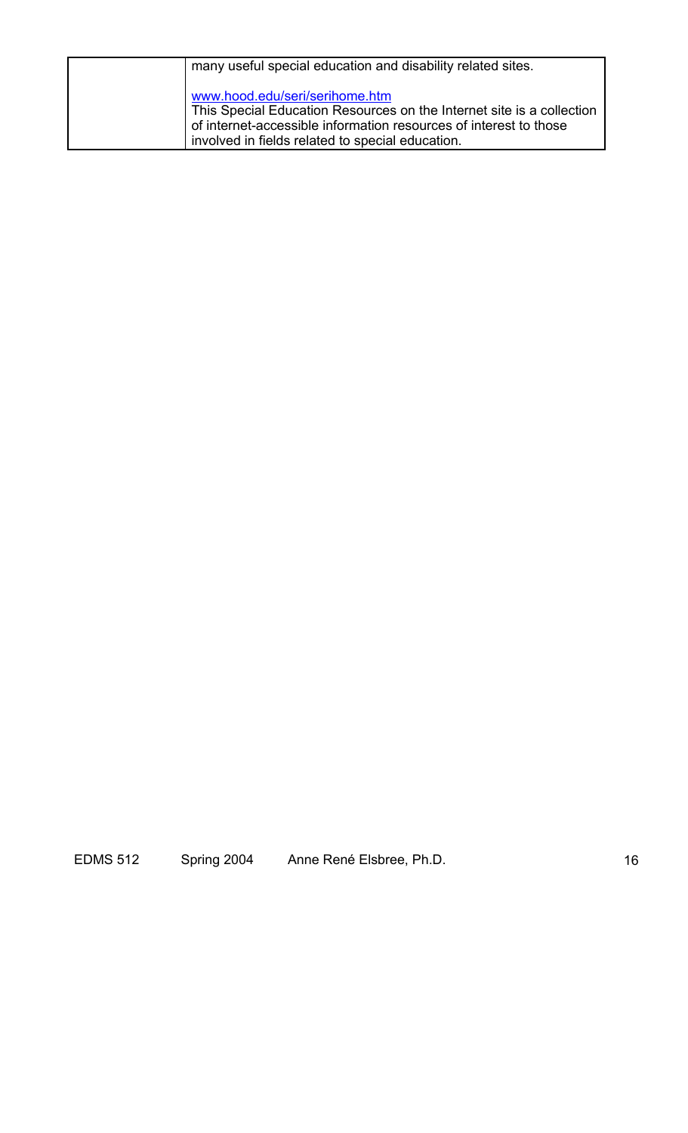| many useful special education and disability related sites.                                                                                                                                                                      |
|----------------------------------------------------------------------------------------------------------------------------------------------------------------------------------------------------------------------------------|
| www.hood.edu/seri/serihome.htm<br>This Special Education Resources on the Internet site is a collection<br>of internet-accessible information resources of interest to those<br>involved in fields related to special education. |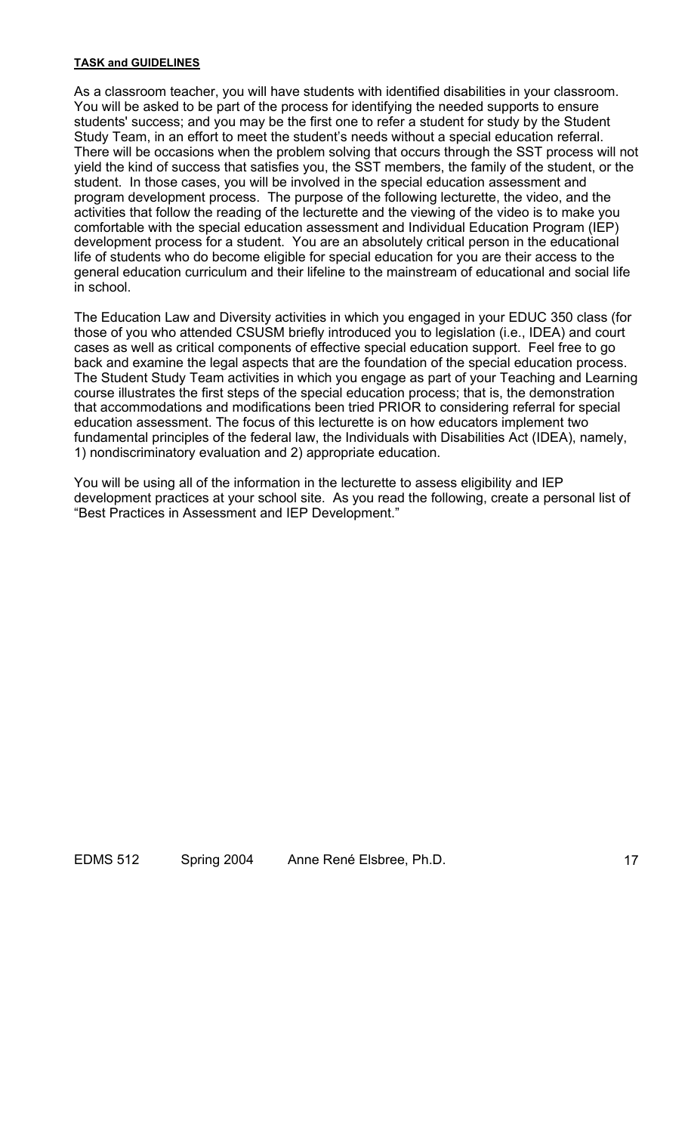#### **TASK and GUIDELINES**

As a classroom teacher, you will have students with identified disabilities in your classroom. You will be asked to be part of the process for identifying the needed supports to ensure students' success; and you may be the first one to refer a student for study by the Student Study Team, in an effort to meet the student's needs without a special education referral. There will be occasions when the problem solving that occurs through the SST process will not yield the kind of success that satisfies you, the SST members, the family of the student, or the student. In those cases, you will be involved in the special education assessment and program development process. The purpose of the following lecturette, the video, and the activities that follow the reading of the lecturette and the viewing of the video is to make you comfortable with the special education assessment and Individual Education Program (IEP) development process for a student. You are an absolutely critical person in the educational life of students who do become eligible for special education for you are their access to the general education curriculum and their lifeline to the mainstream of educational and social life in school.

The Education Law and Diversity activities in which you engaged in your EDUC 350 class (for those of you who attended CSUSM briefly introduced you to legislation (i.e., IDEA) and court cases as well as critical components of effective special education support. Feel free to go back and examine the legal aspects that are the foundation of the special education process. The Student Study Team activities in which you engage as part of your Teaching and Learning course illustrates the first steps of the special education process; that is, the demonstration that accommodations and modifications been tried PRIOR to considering referral for special education assessment. The focus of this lecturette is on how educators implement two fundamental principles of the federal law, the Individuals with Disabilities Act (IDEA), namely, 1) nondiscriminatory evaluation and 2) appropriate education.

You will be using all of the information in the lecturette to assess eligibility and IEP development practices at your school site. As you read the following, create a personal list of "Best Practices in Assessment and IEP Development."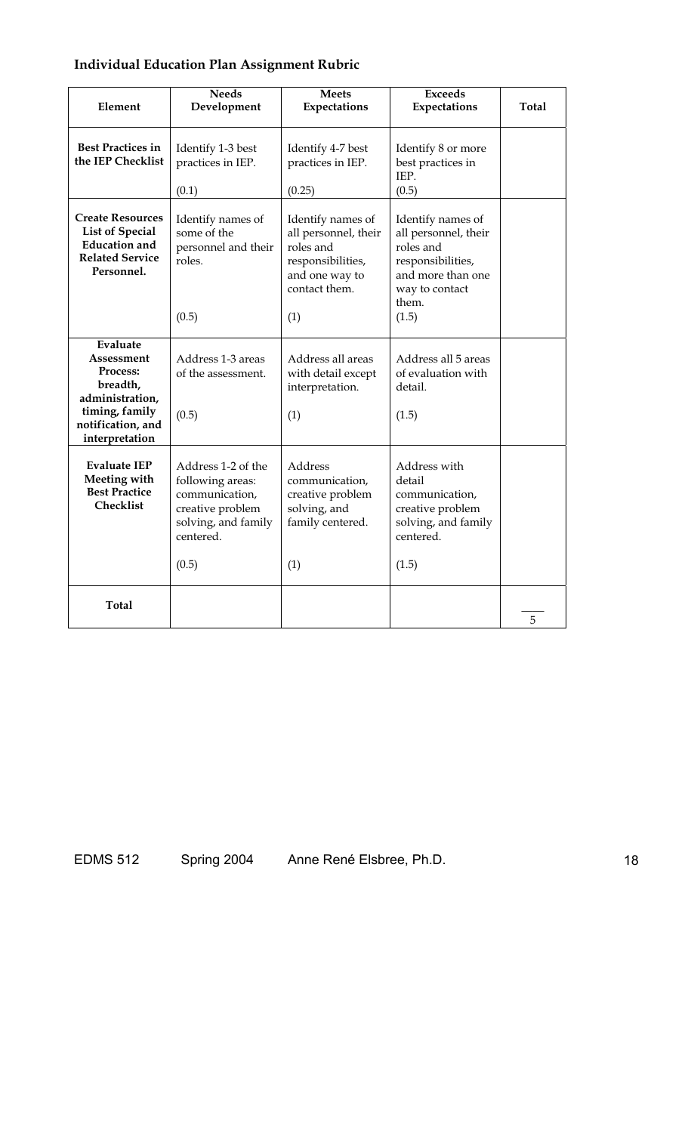# **Individual Education Plan Assignment Rubric**

| Element                                                                                                                           | <b>Needs</b><br>Development                                                                                               | <b>Meets</b><br>Expectations                                                                                          | <b>Exceeds</b><br>Expectations                                                                                                       | <b>Total</b> |
|-----------------------------------------------------------------------------------------------------------------------------------|---------------------------------------------------------------------------------------------------------------------------|-----------------------------------------------------------------------------------------------------------------------|--------------------------------------------------------------------------------------------------------------------------------------|--------------|
| <b>Best Practices in</b><br>the IEP Checklist                                                                                     | Identify 1-3 best<br>practices in IEP.<br>(0.1)                                                                           | Identify 4-7 best<br>practices in IEP.<br>(0.25)                                                                      | Identify 8 or more<br>best practices in<br>IEP.<br>(0.5)                                                                             |              |
| <b>Create Resources</b><br><b>List of Special</b><br><b>Education</b> and<br><b>Related Service</b><br>Personnel.                 | Identify names of<br>some of the<br>personnel and their<br>roles.<br>(0.5)                                                | Identify names of<br>all personnel, their<br>roles and<br>responsibilities,<br>and one way to<br>contact them.<br>(1) | Identify names of<br>all personnel, their<br>roles and<br>responsibilities,<br>and more than one<br>way to contact<br>them.<br>(1.5) |              |
| Evaluate<br>Assessment<br><b>Process:</b><br>breadth,<br>administration,<br>timing, family<br>notification, and<br>interpretation | Address 1-3 areas<br>of the assessment.<br>(0.5)                                                                          | Address all areas<br>with detail except<br>interpretation.<br>(1)                                                     | Address all 5 areas<br>of evaluation with<br>detail.<br>(1.5)                                                                        |              |
| <b>Evaluate IEP</b><br>Meeting with<br><b>Best Practice</b><br>Checklist                                                          | Address 1-2 of the<br>following areas:<br>communication,<br>creative problem<br>solving, and family<br>centered.<br>(0.5) | Address<br>communication,<br>creative problem<br>solving, and<br>family centered.<br>(1)                              | Address with<br>detail<br>communication,<br>creative problem<br>solving, and family<br>centered.<br>(1.5)                            |              |
| <b>Total</b>                                                                                                                      |                                                                                                                           |                                                                                                                       |                                                                                                                                      | 5            |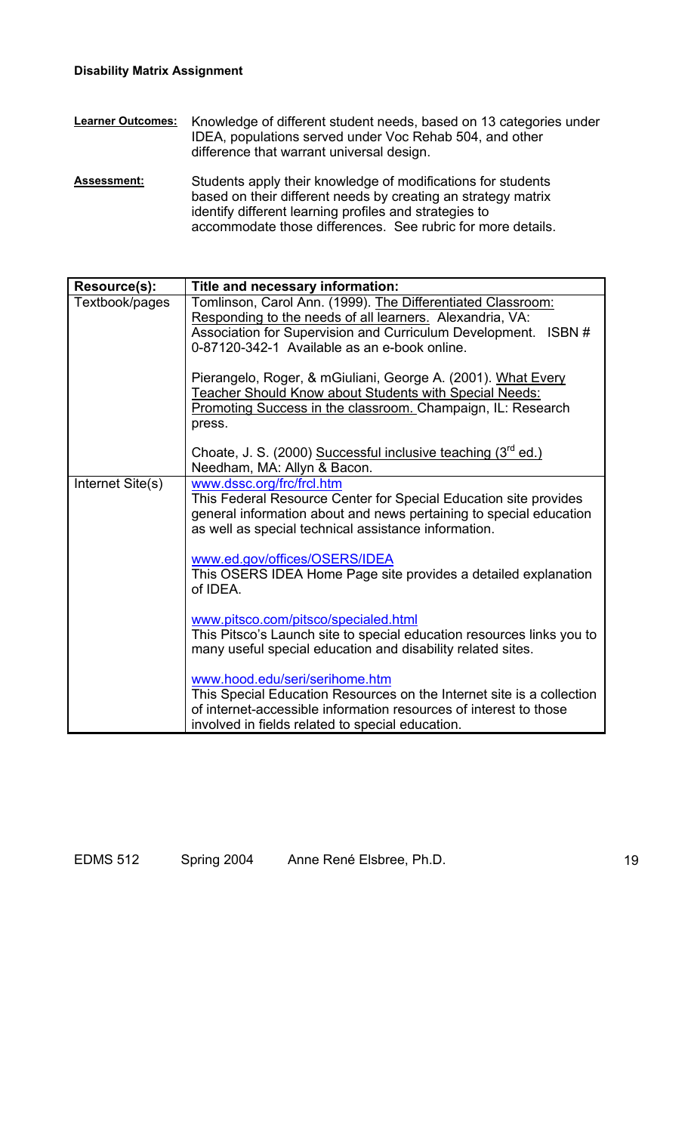- **Learner Outcomes:** Knowledge of different student needs, based on 13 categories under IDEA, populations served under Voc Rehab 504, and other difference that warrant universal design.
- Assessment: Students apply their knowledge of modifications for students based on their different needs by creating an strategy matrix identify different learning profiles and strategies to accommodate those differences. See rubric for more details.

| Resource(s):     | Title and necessary information:                                                                                                     |  |  |  |  |
|------------------|--------------------------------------------------------------------------------------------------------------------------------------|--|--|--|--|
| Textbook/pages   | Tomlinson, Carol Ann. (1999). The Differentiated Classroom:                                                                          |  |  |  |  |
|                  | Responding to the needs of all learners. Alexandria, VA:<br>Association for Supervision and Curriculum Development.<br>ISBN#         |  |  |  |  |
|                  | 0-87120-342-1 Available as an e-book online.                                                                                         |  |  |  |  |
|                  |                                                                                                                                      |  |  |  |  |
|                  | Pierangelo, Roger, & mGiuliani, George A. (2001). What Every                                                                         |  |  |  |  |
|                  | <b>Teacher Should Know about Students with Special Needs:</b>                                                                        |  |  |  |  |
|                  | Promoting Success in the classroom. Champaign, IL: Research                                                                          |  |  |  |  |
|                  | press.                                                                                                                               |  |  |  |  |
|                  | Choate, J. S. (2000) Successful inclusive teaching (3 <sup>rd</sup> ed.)                                                             |  |  |  |  |
|                  | Needham, MA: Allyn & Bacon.                                                                                                          |  |  |  |  |
| Internet Site(s) | www.dssc.org/frc/frcl.htm                                                                                                            |  |  |  |  |
|                  | This Federal Resource Center for Special Education site provides                                                                     |  |  |  |  |
|                  | general information about and news pertaining to special education                                                                   |  |  |  |  |
|                  | as well as special technical assistance information.                                                                                 |  |  |  |  |
|                  | www.ed.gov/offices/OSERS/IDEA                                                                                                        |  |  |  |  |
|                  | This OSERS IDEA Home Page site provides a detailed explanation                                                                       |  |  |  |  |
|                  | of IDEA.                                                                                                                             |  |  |  |  |
|                  |                                                                                                                                      |  |  |  |  |
|                  | www.pitsco.com/pitsco/specialed.html                                                                                                 |  |  |  |  |
|                  | This Pitsco's Launch site to special education resources links you to<br>many useful special education and disability related sites. |  |  |  |  |
|                  |                                                                                                                                      |  |  |  |  |
|                  | www.hood.edu/seri/serihome.htm                                                                                                       |  |  |  |  |
|                  | This Special Education Resources on the Internet site is a collection                                                                |  |  |  |  |
|                  | of internet-accessible information resources of interest to those                                                                    |  |  |  |  |
|                  | involved in fields related to special education.                                                                                     |  |  |  |  |